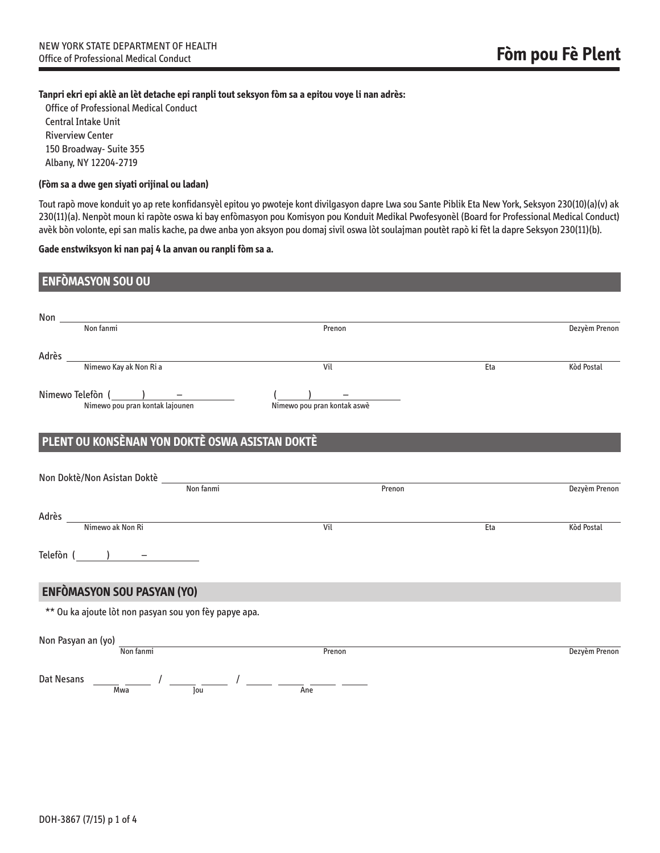## **Tanpri ekri epi aklè an lèt detache epi ranpli tout seksyon fòm sa a epitou voye li nan adrès:**

Office of Professional Medical Conduct Central Intake Unit Riverview Center 150 Broadway- Suite 355 Albany, NY 12204-2719

## **(Fòm sa a dwe gen siyati orijinal ou ladan)**

Tout rapò move konduit yo ap rete konfidansyèl epitou yo pwoteje kont divilgasyon dapre Lwa sou Sante Piblik Eta New York, Seksyon 230(10)(a)(v) ak 230(11)(a). Nenpòt moun ki rapòte oswa ki bay enfòmasyon pou Komisyon pou Konduit Medikal Pwofesyonèl (Board for Professional Medical Conduct) avèk bòn volonte, epi san malis kache, pa dwe anba yon aksyon pou domaj sivil oswa lòt soulajman poutèt rapò ki fèt la dapre Seksyon 230(11)(b).

## **Gade enstwiksyon ki nan paj 4 la anvan ou ranpli fòm sa a.**

| <b>ENFOMASYON SOU OU</b>                              |                             |     |                   |
|-------------------------------------------------------|-----------------------------|-----|-------------------|
| Non <u>Non fanmi</u>                                  | Prenon                      |     | Dezyèm Prenon     |
| Adrès __<br><u>Nimewo Kay ak Non Ri a</u>             | Vil                         | Eta | <b>Kòd Postal</b> |
| $N$ imewo Telefòn $\frac{)}{N}$ - $\frac{)}{N}$       | Nimewo pou pran kontak aswè |     |                   |
| PLENT OU KONSÈNAN YON DOKTÈ OSWA ASISTAN DOKTÈ        |                             |     |                   |
| Non Doktè/Non Asistan Doktè                           | Non fanmi<br>Prenon         |     | Dezyèm Prenon     |
| Adrès<br>Mimewo ak Non Ri                             | Vil                         | Eta | Kòd Postal        |
| Telefòn $(\ \ )$ $-$                                  |                             |     |                   |
| <b>ENFÒMASYON SOU PASYAN (YO)</b>                     |                             |     |                   |
| ** Ou ka ajoute lòt non pasyan sou yon fèy papye apa. |                             |     |                   |
| Non Pasyan an (yo)                                    | Non fanmi<br>Prenon         |     | Dezyèm Prenon     |
| <b>Dat Nesans</b><br>Mwa<br>lou                       | Ane                         |     |                   |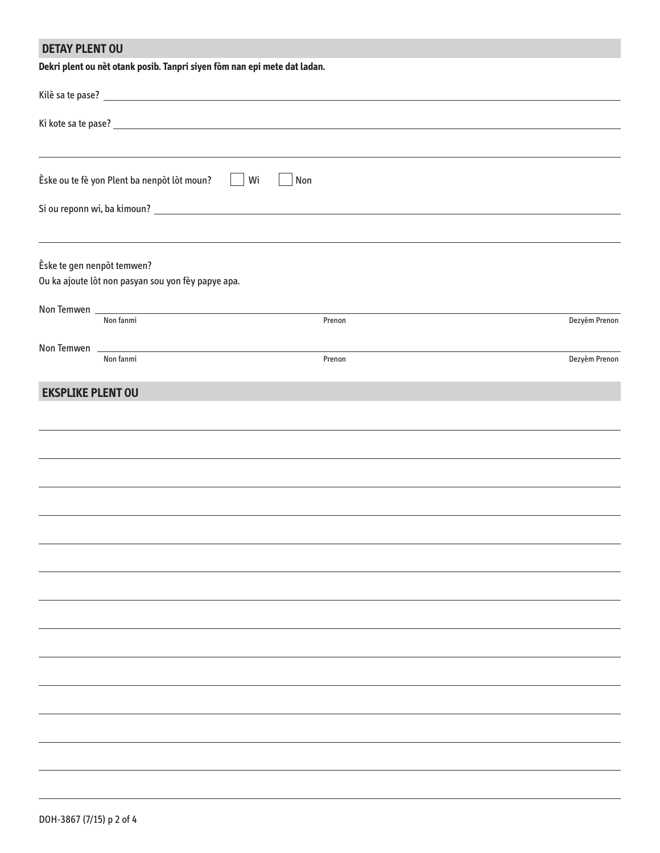| <b>DETAY PLENT OU</b>      |                                                                                                                             | Dekri plent ou nèt otank posib. Tanpri siyen fòm nan epi mete dat ladan.         |        |  |
|----------------------------|-----------------------------------------------------------------------------------------------------------------------------|----------------------------------------------------------------------------------|--------|--|
|                            |                                                                                                                             |                                                                                  |        |  |
|                            |                                                                                                                             |                                                                                  |        |  |
|                            |                                                                                                                             |                                                                                  |        |  |
|                            | Èske ou te fè yon Plent ba nenpòt lòt moun?                                                                                 | Wi                                                                               | Non    |  |
|                            |                                                                                                                             |                                                                                  |        |  |
|                            |                                                                                                                             | ,我们也不会有什么。""我们的人,我们也不会有什么?""我们的人,我们也不会有什么?""我们的人,我们也不会有什么?""我们的人,我们也不会有什么?""我们的人 |        |  |
| Èske te gen nenpòt temwen? |                                                                                                                             |                                                                                  |        |  |
|                            | Ou ka ajoute lòt non pasyan sou yon fèy papye apa.                                                                          |                                                                                  |        |  |
|                            | Non fanmi                                                                                                                   |                                                                                  | Prenon |  |
|                            |                                                                                                                             |                                                                                  |        |  |
|                            | Non Temwen 2008 2009 2010 2020 2021 2022 2023 2024 2022 2023 2024 2022 2023 2024 2022 2023 2024 2025 2026 2027<br>Non fanmi |                                                                                  | Prenon |  |
| <b>EKSPLIKE PLENT OU</b>   |                                                                                                                             |                                                                                  |        |  |
|                            |                                                                                                                             |                                                                                  |        |  |
|                            |                                                                                                                             |                                                                                  |        |  |
|                            |                                                                                                                             |                                                                                  |        |  |
|                            |                                                                                                                             |                                                                                  |        |  |
|                            |                                                                                                                             |                                                                                  |        |  |
|                            |                                                                                                                             |                                                                                  |        |  |
|                            |                                                                                                                             |                                                                                  |        |  |
|                            |                                                                                                                             |                                                                                  |        |  |
|                            |                                                                                                                             |                                                                                  |        |  |
|                            |                                                                                                                             |                                                                                  |        |  |
|                            |                                                                                                                             |                                                                                  |        |  |

Dezyèm Prenon

 $\overline{\phantom{a}}$ 

 $\overline{\phantom{0}}$ 

 $\overline{\phantom{0}}$ 

 $\overline{\phantom{0}}$ 

Dezyèm Prenon

 $\overline{\phantom{0}}$ 

 $\overline{\phantom{0}}$ 

÷,

 $\overline{\phantom{0}}$ 

L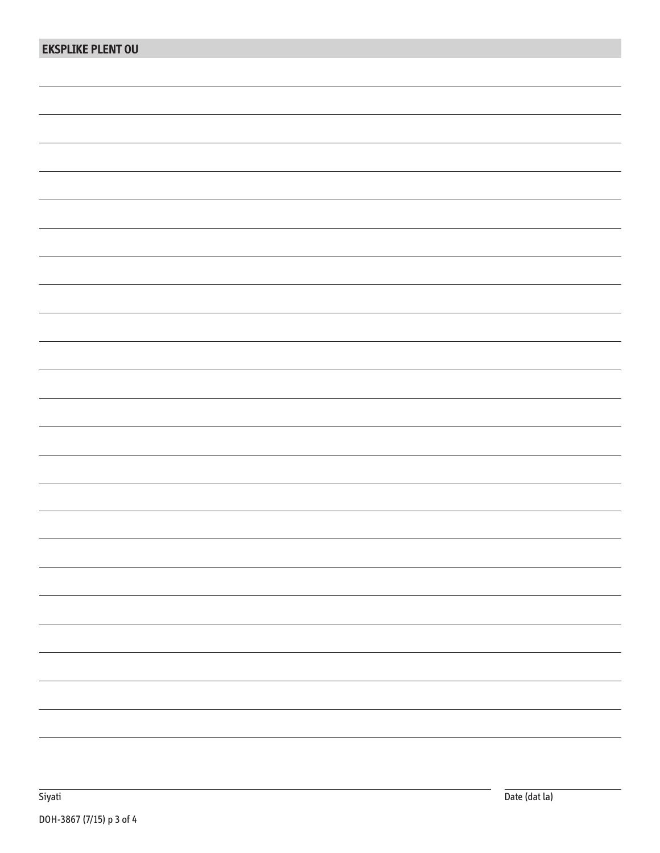| <b>EKSPLIKE PLENT OU</b> |  |
|--------------------------|--|
|                          |  |
|                          |  |
|                          |  |
|                          |  |
|                          |  |
|                          |  |
|                          |  |
|                          |  |
|                          |  |
|                          |  |
|                          |  |
|                          |  |
|                          |  |
|                          |  |
|                          |  |
|                          |  |
|                          |  |
|                          |  |
|                          |  |
|                          |  |
|                          |  |
|                          |  |
|                          |  |
|                          |  |
|                          |  |
|                          |  |
|                          |  |
|                          |  |